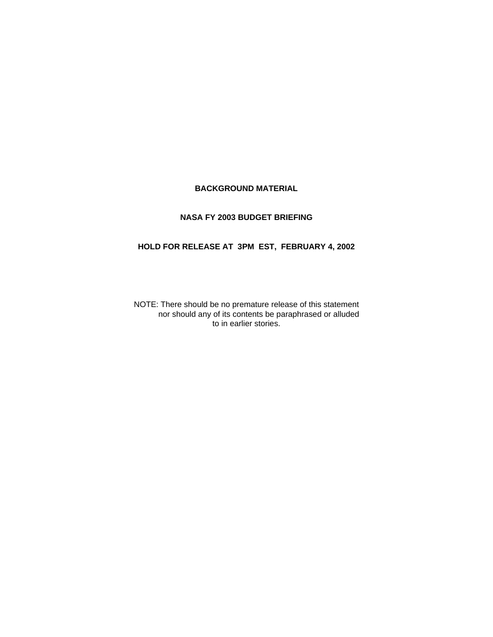# **BACKGROUND MATERIAL**

## **NASA FY 2003 BUDGET BRIEFING**

# **HOLD FOR RELEASE AT 3PM EST, FEBRUARY 4, 2002**

 nor should any of its contents be paraphrased or alluded to in earlier stories. NOTE: There should be no premature release of this statement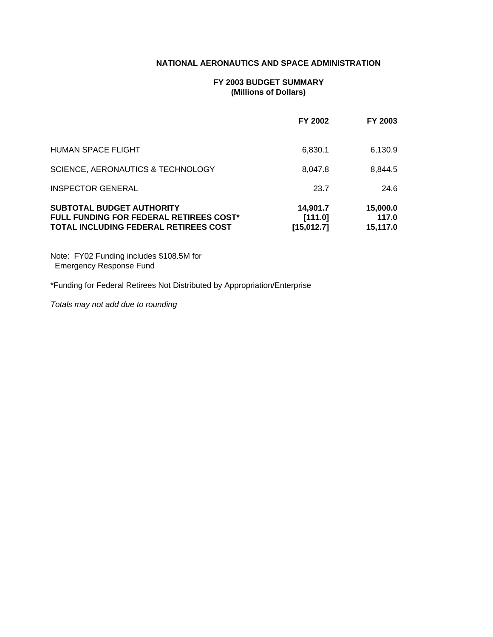## **NATIONAL AERONAUTICS AND SPACE ADMINISTRATION**

## **FY 2003 BUDGET SUMMARY (Millions of Dollars)**

|                                                                                                                      | FY 2002                            | FY 2003                       |
|----------------------------------------------------------------------------------------------------------------------|------------------------------------|-------------------------------|
| <b>HUMAN SPACE FLIGHT</b>                                                                                            | 6,830.1                            | 6,130.9                       |
| SCIENCE, AERONAUTICS & TECHNOLOGY                                                                                    | 8,047.8                            | 8,844.5                       |
| <b>INSPECTOR GENERAL</b>                                                                                             | 23.7                               | 24.6                          |
| SUBTOTAL BUDGET AUTHORITY<br><b>FULL FUNDING FOR FEDERAL RETIREES COST*</b><br>TOTAL INCLUDING FEDERAL RETIREES COST | 14,901.7<br>[111.0]<br>[15, 012.7] | 15,000.0<br>117.0<br>15.117.0 |

Note: FY02 Funding includes \$108.5M for Emergency Response Fund

\*Funding for Federal Retirees Not Distributed by Appropriation/Enterprise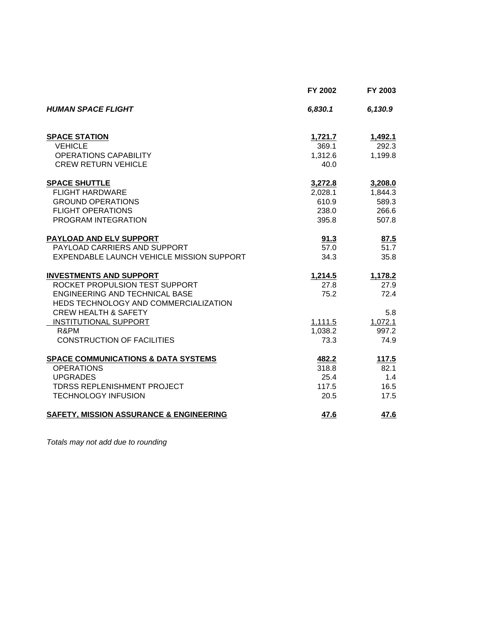|                                                    | FY 2002 | FY 2003 |
|----------------------------------------------------|---------|---------|
| <b>HUMAN SPACE FLIGHT</b>                          | 6,830.1 | 6,130.9 |
| <b>SPACE STATION</b>                               | 1,721.7 | 1,492.1 |
| <b>VEHICLE</b>                                     | 369.1   | 292.3   |
| <b>OPERATIONS CAPABILITY</b>                       | 1,312.6 | 1,199.8 |
| <b>CREW RETURN VEHICLE</b>                         | 40.0    |         |
| <b>SPACE SHUTTLE</b>                               | 3,272.8 | 3,208.0 |
| <b>FLIGHT HARDWARE</b>                             | 2,028.1 | 1,844.3 |
| <b>GROUND OPERATIONS</b>                           | 610.9   | 589.3   |
| <b>FLIGHT OPERATIONS</b>                           | 238.0   | 266.6   |
| PROGRAM INTEGRATION                                | 395.8   | 507.8   |
| PAYLOAD AND ELV SUPPORT                            | 91.3    | 87.5    |
| PAYLOAD CARRIERS AND SUPPORT                       | 57.0    | 51.7    |
| EXPENDABLE LAUNCH VEHICLE MISSION SUPPORT          | 34.3    | 35.8    |
| <b>INVESTMENTS AND SUPPORT</b>                     | 1,214.5 | 1,178.2 |
| ROCKET PROPULSION TEST SUPPORT                     | 27.8    | 27.9    |
| ENGINEERING AND TECHNICAL BASE                     | 75.2    | 72.4    |
| HEDS TECHNOLOGY AND COMMERCIALIZATION              |         |         |
| <b>CREW HEALTH &amp; SAFETY</b>                    |         | 5.8     |
| <b>INSTITUTIONAL SUPPORT</b>                       | 1,111.5 | 1,072.1 |
| R&PM                                               | 1,038.2 | 997.2   |
| <b>CONSTRUCTION OF FACILITIES</b>                  | 73.3    | 74.9    |
| <b>SPACE COMMUNICATIONS &amp; DATA SYSTEMS</b>     | 482.2   | 117.5   |
| <b>OPERATIONS</b>                                  | 318.8   | 82.1    |
| <b>UPGRADES</b>                                    | 25.4    | 1.4     |
| <b>TDRSS REPLENISHMENT PROJECT</b>                 | 117.5   | 16.5    |
| <b>TECHNOLOGY INFUSION</b>                         | 20.5    | 17.5    |
| <b>SAFETY, MISSION ASSURANCE &amp; ENGINEERING</b> | 47.6    | 47.6    |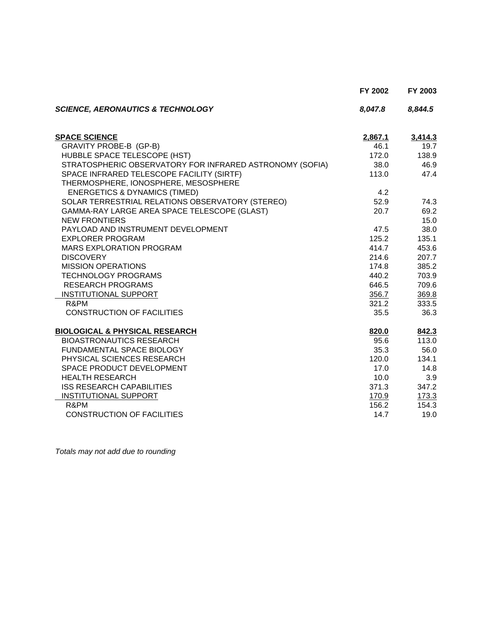|                                                          | FY 2002 | FY 2003 |
|----------------------------------------------------------|---------|---------|
| <b>SCIENCE, AERONAUTICS &amp; TECHNOLOGY</b>             | 8,047.8 | 8,844.5 |
| <b>SPACE SCIENCE</b>                                     | 2,867.1 | 3,414.3 |
| GRAVITY PROBE-B (GP-B)                                   | 46.1    | 19.7    |
| HUBBLE SPACE TELESCOPE (HST)                             | 172.0   | 138.9   |
| STRATOSPHERIC OBSERVATORY FOR INFRARED ASTRONOMY (SOFIA) | 38.0    | 46.9    |
| SPACE INFRARED TELESCOPE FACILITY (SIRTF)                | 113.0   | 47.4    |
| THERMOSPHERE, IONOSPHERE, MESOSPHERE                     |         |         |
| <b>ENERGETICS &amp; DYNAMICS (TIMED)</b>                 | 4.2     |         |
| SOLAR TERRESTRIAL RELATIONS OBSERVATORY (STEREO)         | 52.9    | 74.3    |
| GAMMA-RAY LARGE AREA SPACE TELESCOPE (GLAST)             | 20.7    | 69.2    |
| <b>NEW FRONTIERS</b>                                     |         | 15.0    |
| PAYLOAD AND INSTRUMENT DEVELOPMENT                       | 47.5    | 38.0    |
| <b>EXPLORER PROGRAM</b>                                  | 125.2   | 135.1   |
| <b>MARS EXPLORATION PROGRAM</b>                          | 414.7   | 453.6   |
| <b>DISCOVERY</b>                                         | 214.6   | 207.7   |
| <b>MISSION OPERATIONS</b>                                | 174.8   | 385.2   |
| <b>TECHNOLOGY PROGRAMS</b>                               | 440.2   | 703.9   |
| <b>RESEARCH PROGRAMS</b>                                 | 646.5   | 709.6   |
| <b>INSTITUTIONAL SUPPORT</b>                             | 356.7   | 369.8   |
| R&PM                                                     | 321.2   | 333.5   |
| <b>CONSTRUCTION OF FACILITIES</b>                        | 35.5    | 36.3    |
| <b>BIOLOGICAL &amp; PHYSICAL RESEARCH</b>                | 820.0   | 842.3   |
| <b>BIOASTRONAUTICS RESEARCH</b>                          | 95.6    | 113.0   |
| FUNDAMENTAL SPACE BIOLOGY                                | 35.3    | 56.0    |
| PHYSICAL SCIENCES RESEARCH                               | 120.0   | 134.1   |
| SPACE PRODUCT DEVELOPMENT                                | 17.0    | 14.8    |
| <b>HEALTH RESEARCH</b>                                   | 10.0    | 3.9     |
| <b>ISS RESEARCH CAPABILITIES</b>                         | 371.3   | 347.2   |
| <b>INSTITUTIONAL SUPPORT</b>                             | 170.9   | 173.3   |
| R&PM                                                     | 156.2   | 154.3   |
| CONSTRUCTION OF FACILITIES                               | 14.7    | 19.0    |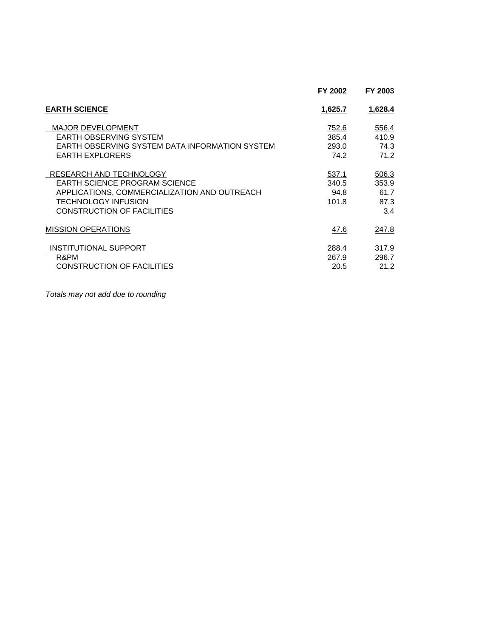|                                                | FY 2002 | FY 2003 |
|------------------------------------------------|---------|---------|
| <b>EARTH SCIENCE</b>                           | 1,625.7 | 1,628.4 |
| <b>MAJOR DEVELOPMENT</b>                       | 752.6   | 556.4   |
| EARTH OBSERVING SYSTEM                         | 385.4   | 410.9   |
| EARTH OBSERVING SYSTEM DATA INFORMATION SYSTEM | 293.0   | 74.3    |
| <b>EARTH EXPLORERS</b>                         | 74.2    | 71.2    |
| RESEARCH AND TECHNOLOGY                        | 537.1   | 506.3   |
| <b>EARTH SCIENCE PROGRAM SCIENCE</b>           | 340.5   | 353.9   |
| APPLICATIONS, COMMERCIALIZATION AND OUTREACH   | 94.8    | 61.7    |
| <b>TECHNOLOGY INFUSION</b>                     | 101.8   | 87.3    |
| CONSTRUCTION OF FACILITIES                     |         | 3.4     |
| <b>MISSION OPERATIONS</b>                      | 47.6    | 247.8   |
| INSTITUTIONAL SUPPORT                          | 288.4   | 317.9   |
| R&PM                                           | 267.9   | 296.7   |
| CONSTRUCTION OF FACILITIES                     | 20.5    | 21.2    |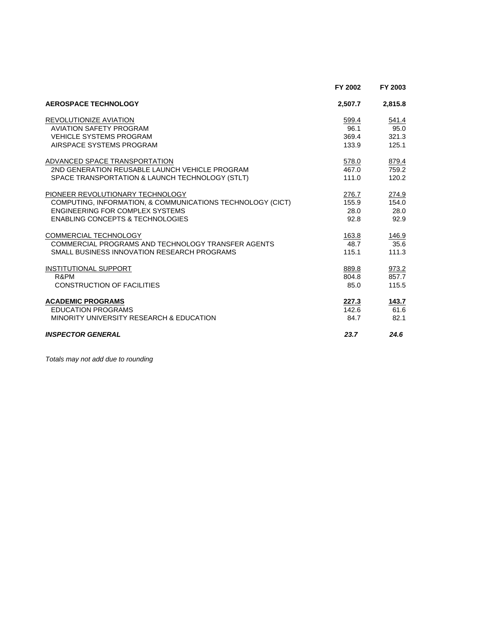|                                                            | FY 2002 | FY 2003 |
|------------------------------------------------------------|---------|---------|
| <b>AEROSPACE TECHNOLOGY</b>                                | 2,507.7 | 2,815.8 |
| REVOLUTIONIZE AVIATION                                     | 599.4   | 541.4   |
| <b>AVIATION SAFETY PROGRAM</b>                             | 96.1    | 95.0    |
| <b>VEHICLE SYSTEMS PROGRAM</b>                             | 369.4   | 321.3   |
| AIRSPACE SYSTEMS PROGRAM                                   | 133.9   | 125.1   |
| ADVANCED SPACE TRANSPORTATION                              | 578.0   | 879.4   |
| 2ND GENERATION REUSABLE LAUNCH VEHICLE PROGRAM             | 467.0   | 759.2   |
| SPACE TRANSPORTATION & LAUNCH TECHNOLOGY (STLT)            | 111.0   | 120.2   |
| PIONEER REVOLUTIONARY TECHNOLOGY                           | 276.7   | 274.9   |
| COMPUTING, INFORMATION, & COMMUNICATIONS TECHNOLOGY (CICT) | 155.9   | 154.0   |
| ENGINEERING FOR COMPLEX SYSTEMS                            | 28.0    | 28.0    |
| <b>ENABLING CONCEPTS &amp; TECHNOLOGIES</b>                | 92.8    | 92.9    |
| COMMERCIAL TECHNOLOGY                                      | 163.8   | 146.9   |
| COMMERCIAL PROGRAMS AND TECHNOLOGY TRANSFER AGENTS         | 48.7    | 35.6    |
| SMALL BUSINESS INNOVATION RESEARCH PROGRAMS                | 115.1   | 111.3   |
| <b>INSTITUTIONAL SUPPORT</b>                               | 889.8   | 973.2   |
| R&PM                                                       | 804.8   | 857.7   |
| <b>CONSTRUCTION OF FACILITIES</b>                          | 85.0    | 115.5   |
| <b>ACADEMIC PROGRAMS</b>                                   | 227.3   | 143.7   |
| <b>EDUCATION PROGRAMS</b>                                  | 142.6   | 61.6    |
| MINORITY UNIVERSITY RESEARCH & EDUCATION                   | 84.7    | 82.1    |
| <b>INSPECTOR GENERAL</b>                                   | 23.7    | 24.6    |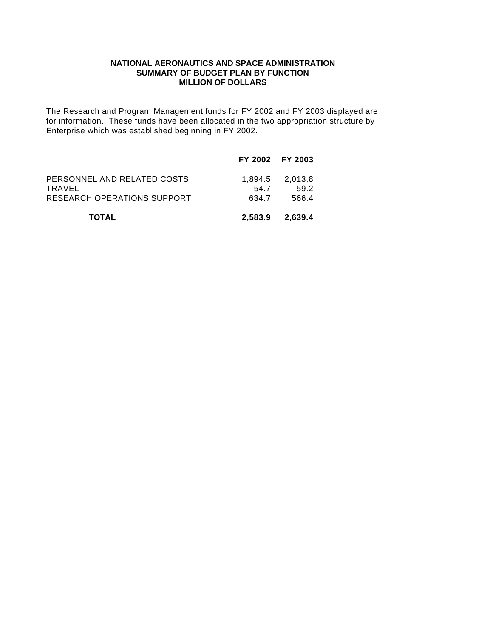#### **NATIONAL AERONAUTICS AND SPACE ADMINISTRATION SUMMARY OF BUDGET PLAN BY FUNCTION MILLION OF DOLLARS**

The Research and Program Management funds for FY 2002 and FY 2003 displayed are for information. These funds have been allocated in the two appropriation structure by Enterprise which was established beginning in FY 2002.

|                                                                      | FY 2002 FY 2003 |                                  |
|----------------------------------------------------------------------|-----------------|----------------------------------|
| PERSONNEL AND RELATED COSTS<br>TRAVEL<br>RESEARCH OPERATIONS SUPPORT | 54.7<br>634.7   | 1.894.5 2.013.8<br>59.2<br>566.4 |
| <b>TOTAL</b>                                                         | 2.583.9         | 2.639.4                          |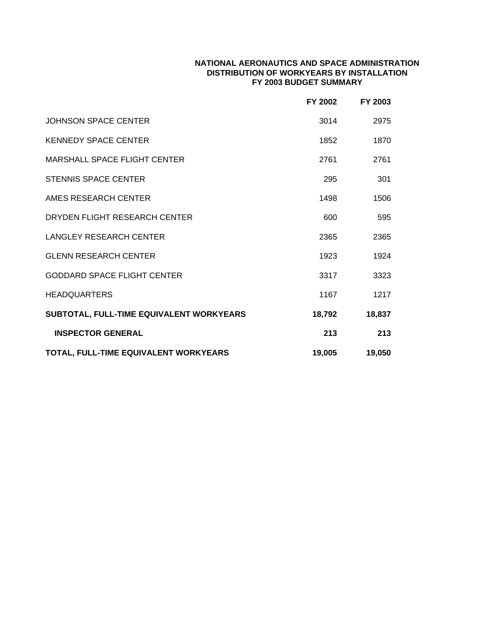### **NATIONAL AERONAUTICS AND SPACE ADMINISTRATION DISTRIBUTION OF WORKYEARS BY INSTALLATION FY 2003 BUDGET SUMMARY**

|                                          | FY 2002 | FY 2003 |
|------------------------------------------|---------|---------|
| <b>JOHNSON SPACE CENTER</b>              | 3014    | 2975    |
| <b>KENNEDY SPACE CENTER</b>              | 1852    | 1870    |
| MARSHALL SPACE FLIGHT CENTER             | 2761    | 2761    |
| <b>STENNIS SPACE CENTER</b>              | 295     | 301     |
| AMES RESEARCH CENTER                     | 1498    | 1506    |
| DRYDEN FLIGHT RESEARCH CENTER            | 600     | 595     |
| <b>LANGLEY RESEARCH CENTER</b>           | 2365    | 2365    |
| <b>GLENN RESEARCH CENTER</b>             | 1923    | 1924    |
| <b>GODDARD SPACE FLIGHT CENTER</b>       | 3317    | 3323    |
| <b>HEADQUARTERS</b>                      | 1167    | 1217    |
| SUBTOTAL, FULL-TIME EQUIVALENT WORKYEARS | 18,792  | 18,837  |
| <b>INSPECTOR GENERAL</b>                 | 213     | 213     |
| TOTAL, FULL-TIME EQUIVALENT WORKYEARS    | 19,005  | 19,050  |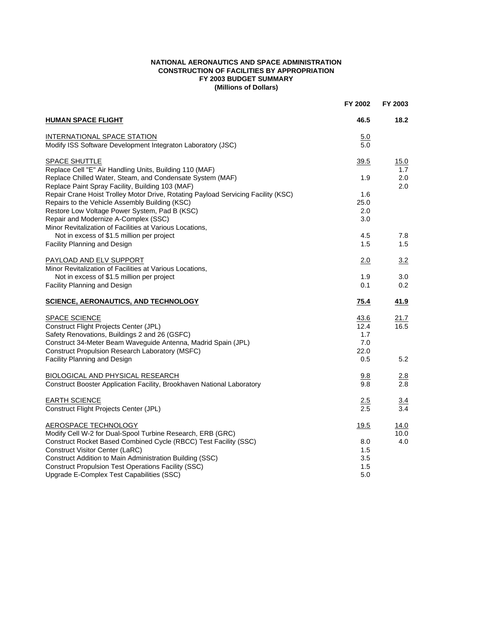#### **NATIONAL AERONAUTICS AND SPACE ADMINISTRATION CONSTRUCTION OF FACILITIES BY APPROPRIATION FY 2003 BUDGET SUMMARY (Millions of Dollars)**

|                                                                                                                                                                                                                                                                                          | FY 2002                                   | FY 2003             |
|------------------------------------------------------------------------------------------------------------------------------------------------------------------------------------------------------------------------------------------------------------------------------------------|-------------------------------------------|---------------------|
| <b>HUMAN SPACE FLIGHT</b>                                                                                                                                                                                                                                                                | 46.5                                      | 18.2                |
| INTERNATIONAL SPACE STATION<br>Modify ISS Software Development Integraton Laboratory (JSC)                                                                                                                                                                                               | 5.0<br>5.0                                |                     |
| <b>SPACE SHUTTLE</b>                                                                                                                                                                                                                                                                     | 39.5                                      | 15.0                |
| Replace Cell "E" Air Handling Units, Building 110 (MAF)<br>Replace Chilled Water, Steam, and Condensate System (MAF)<br>Replace Paint Spray Facility, Building 103 (MAF)                                                                                                                 | 1.9                                       | 1.7<br>2.0<br>2.0   |
| Repair Crane Hoist Trolley Motor Drive, Rotating Payload Servicing Facility (KSC)<br>Repairs to the Vehicle Assembly Building (KSC)<br>Restore Low Voltage Power System, Pad B (KSC)<br>Repair and Modernize A-Complex (SSC)<br>Minor Revitalization of Facilities at Various Locations, | 1.6<br>25.0<br>2.0<br>3.0                 |                     |
| Not in excess of \$1.5 million per project                                                                                                                                                                                                                                               | 4.5                                       | 7.8                 |
| Facility Planning and Design                                                                                                                                                                                                                                                             | 1.5                                       | 1.5                 |
| PAYLOAD AND ELV SUPPORT<br>Minor Revitalization of Facilities at Various Locations,                                                                                                                                                                                                      | 2.0                                       | 3.2                 |
| Not in excess of \$1.5 million per project<br>Facility Planning and Design                                                                                                                                                                                                               | 1.9<br>0.1                                | 3.0<br>0.2          |
| <b>SCIENCE, AERONAUTICS, AND TECHNOLOGY</b>                                                                                                                                                                                                                                              | 75.4                                      | 41.9                |
| <b>SPACE SCIENCE</b><br>Construct Flight Projects Center (JPL)<br>Safety Renovations, Buildings 2 and 26 (GSFC)<br>Construct 34-Meter Beam Waveguide Antenna, Madrid Spain (JPL)<br>Construct Propulsion Research Laboratory (MSFC)<br>Facility Planning and Design                      | 43.6<br>12.4<br>1.7<br>7.0<br>22.0<br>0.5 | 21.7<br>16.5<br>5.2 |
| <b>BIOLOGICAL AND PHYSICAL RESEARCH</b><br>Construct Booster Application Facility, Brookhaven National Laboratory                                                                                                                                                                        | 9.8<br>9.8                                | 2.8<br>2.8          |
| <b>EARTH SCIENCE</b><br>Construct Flight Projects Center (JPL)                                                                                                                                                                                                                           | 2.5<br>2.5                                | 3.4<br>3.4          |
| AEROSPACE TECHNOLOGY<br>Modify Cell W-2 for Dual-Spool Turbine Research, ERB (GRC)                                                                                                                                                                                                       | 19.5                                      | <u>14.0</u><br>10.0 |
| Construct Rocket Based Combined Cycle (RBCC) Test Facility (SSC)<br>Construct Visitor Center (LaRC)<br>Construct Addition to Main Administration Building (SSC)<br><b>Construct Propulsion Test Operations Facility (SSC)</b><br>Upgrade E-Complex Test Capabilities (SSC)               | 8.0<br>1.5<br>3.5<br>1.5<br>5.0           | 4.0                 |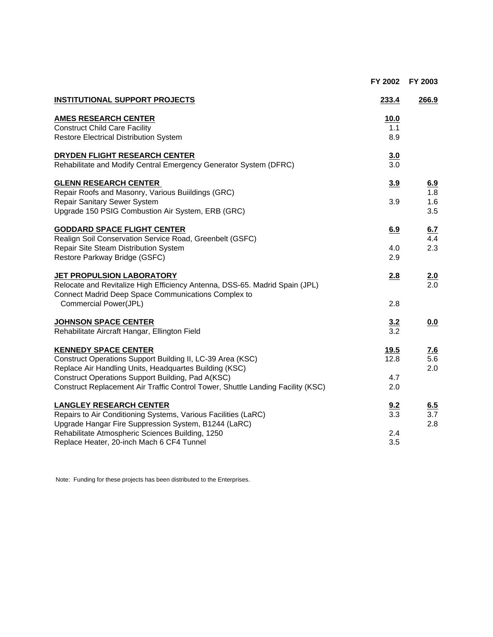|                                                                                 | FY 2002 | FY 2003 |
|---------------------------------------------------------------------------------|---------|---------|
| <b>INSTITUTIONAL SUPPORT PROJECTS</b>                                           | 233.4   | 266.9   |
| <b>AMES RESEARCH CENTER</b>                                                     | 10.0    |         |
| <b>Construct Child Care Facility</b>                                            | 1.1     |         |
| Restore Electrical Distribution System                                          | 8.9     |         |
| DRYDEN FLIGHT RESEARCH CENTER                                                   | 3.0     |         |
| Rehabilitate and Modify Central Emergency Generator System (DFRC)               | 3.0     |         |
| <b>GLENN RESEARCH CENTER</b>                                                    | 3.9     | 6.9     |
| Repair Roofs and Masonry, Various Buildings (GRC)                               |         | 1.8     |
| Repair Sanitary Sewer System                                                    | 3.9     | 1.6     |
| Upgrade 150 PSIG Combustion Air System, ERB (GRC)                               |         | 3.5     |
| <b>GODDARD SPACE FLIGHT CENTER</b>                                              | 6.9     | 6.7     |
| Realign Soil Conservation Service Road, Greenbelt (GSFC)                        |         | 4.4     |
| Repair Site Steam Distribution System                                           | 4.0     | 2.3     |
| Restore Parkway Bridge (GSFC)                                                   | 2.9     |         |
| JET PROPULSION LABORATORY                                                       | 2.8     | 2.0     |
| Relocate and Revitalize High Efficiency Antenna, DSS-65. Madrid Spain (JPL)     |         | 2.0     |
| Connect Madrid Deep Space Communications Complex to                             |         |         |
| Commercial Power(JPL)                                                           | 2.8     |         |
| <b>JOHNSON SPACE CENTER</b>                                                     | 3.2     | 0.0     |
| Rehabilitate Aircraft Hangar, Ellington Field                                   | 3.2     |         |
| <b>KENNEDY SPACE CENTER</b>                                                     | 19.5    | 7.6     |
| Construct Operations Support Building II, LC-39 Area (KSC)                      | 12.8    | 5.6     |
| Replace Air Handling Units, Headquartes Building (KSC)                          |         | 2.0     |
| Construct Operations Support Building, Pad A(KSC)                               | 4.7     |         |
| Construct Replacement Air Traffic Control Tower, Shuttle Landing Facility (KSC) | 2.0     |         |
| <b>LANGLEY RESEARCH CENTER</b>                                                  | 9.2     | 6.5     |
| Repairs to Air Conditioning Systems, Various Facilities (LaRC)                  | 3.3     | 3.7     |
| Upgrade Hangar Fire Suppression System, B1244 (LaRC)                            |         | 2.8     |
| Rehabilitate Atmospheric Sciences Building, 1250                                | 2.4     |         |
| Replace Heater, 20-inch Mach 6 CF4 Tunnel                                       | 3.5     |         |
|                                                                                 |         |         |

Note: Funding for these projects has been distributed to the Enterprises.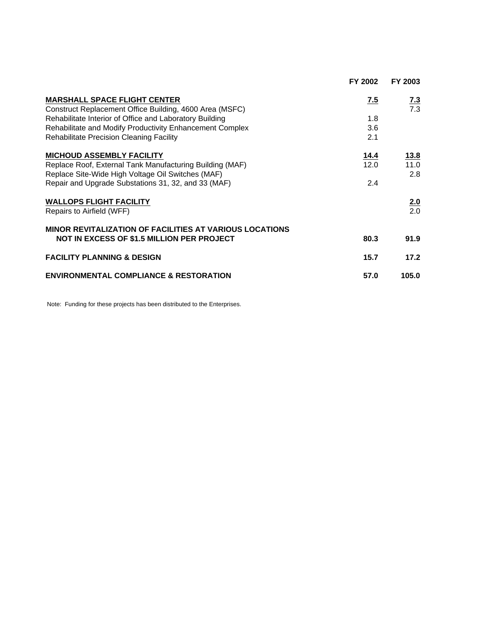|                                                                                                | FY 2002 | FY 2003    |
|------------------------------------------------------------------------------------------------|---------|------------|
| <b>MARSHALL SPACE FLIGHT CENTER</b><br>Construct Replacement Office Building, 4600 Area (MSFC) | 7.5     | 7.3<br>7.3 |
| Rehabilitate Interior of Office and Laboratory Building                                        | 1.8     |            |
| Rehabilitate and Modify Productivity Enhancement Complex                                       | 3.6     |            |
| Rehabilitate Precision Cleaning Facility                                                       | 2.1     |            |
| <b>MICHOUD ASSEMBLY FACILITY</b>                                                               | 14.4    | 13.8       |
| Replace Roof, External Tank Manufacturing Building (MAF)                                       | 12.0    | 11.0       |
| Replace Site-Wide High Voltage Oil Switches (MAF)                                              |         | 2.8        |
| Repair and Upgrade Substations 31, 32, and 33 (MAF)                                            | 2.4     |            |
| <b>WALLOPS FLIGHT FACILITY</b>                                                                 |         | 2.0        |
| Repairs to Airfield (WFF)                                                                      |         | 2.0        |
| <b>MINOR REVITALIZATION OF FACILITIES AT VARIOUS LOCATIONS</b>                                 |         |            |
| <b>NOT IN EXCESS OF \$1.5 MILLION PER PROJECT</b>                                              | 80.3    | 91.9       |
| <b>FACILITY PLANNING &amp; DESIGN</b>                                                          | 15.7    | 17.2       |
| <b>ENVIRONMENTAL COMPLIANCE &amp; RESTORATION</b>                                              | 57.0    | 105.0      |

Note: Funding for these projects has been distributed to the Enterprises.